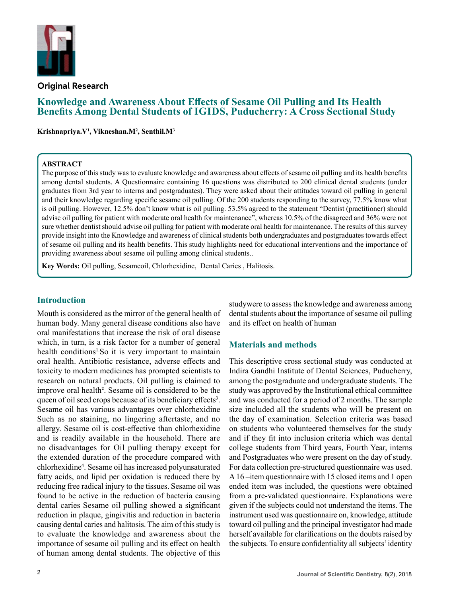

**Original Research**

# **Knowledge and Awareness About Effects of Sesame Oil Pulling and Its Health Benefits Among Dental Students of IGIDS, Puducherry: A Cross Sectional Study**

**Krishnapriya.V1 , Vikneshan.M2 , Senthil.M3**

#### **ABSTRACT**

The purpose of this study was to evaluate knowledge and awareness about effects of sesame oil pulling and its health benefits among dental students. A Questionnaire containing 16 questions was distributed to 200 clinical dental students (under graduates from 3rd year to interns and postgraduates). They were asked about their attitudes toward oil pulling in general and their knowledge regarding specific sesame oil pulling. Of the 200 students responding to the survey, 77.5% know what is oil pulling. However, 12.5% don't know what is oil pulling. 53.5% agreed to the statement "Dentist (practitioner) should advise oil pulling for patient with moderate oral health for maintenance", whereas 10.5% of the disagreed and 36% were not sure whether dentist should advise oil pulling for patient with moderate oral health for maintenance. The results of this survey provide insight into the Knowledge and awareness of clinical students both undergraduates and postgraduates towards effect of sesame oil pulling and its health benefits. This study highlights need for educational interventions and the importance of providing awareness about sesame oil pulling among clinical students..

**Key Words:** Oil pulling, Sesameoil, Chlorhexidine, Dental Caries , Halitosis.

### **Introduction**

Mouth is considered as the mirror of the general health of human body. Many general disease conditions also have oral manifestations that increase the risk of oral disease which, in turn, is a risk factor for a number of general health conditions<sup>1</sup>. So it is very important to maintain oral health. Antibiotic resistance, adverse effects and toxicity to modern medicines has prompted scientists to research on natural products. Oil pulling is claimed to improve oral health**<sup>2</sup>** . Sesame oil is considered to be the queen of oil seed crops because of its beneficiary effects<sup>3</sup>. Sesame oil has various advantages over chlorhexidine Such as no staining, no lingering aftertaste, and no allergy. Sesame oil is cost-effective than chlorhexidine and is readily available in the household. There are no disadvantages for Oil pulling therapy except for the extended duration of the procedure compared with chlorhexidine<sup>4</sup> . Sesame oil has increased polyunsaturated fatty acids, and lipid per oxidation is reduced there by reducing free radical injury to the tissues. Sesame oil was found to be active in the reduction of bacteria causing dental caries Sesame oil pulling showed a significant reduction in plaque, gingivitis and reduction in bacteria causing dental caries and halitosis. The aim of this study is to evaluate the knowledge and awareness about the importance of sesame oil pulling and its effect on health of human among dental students. The objective of this

studywere to assess the knowledge and awareness among dental students about the importance of sesame oil pulling and its effect on health of human

## **Materials and methods**

This descriptive cross sectional study was conducted at Indira Gandhi Institute of Dental Sciences, Puducherry, among the postgraduate and undergraduate students. The study was approved by the Institutional ethical committee and was conducted for a period of 2 months. The sample size included all the students who will be present on the day of examination. Selection criteria was based on students who volunteered themselves for the study and if they fit into inclusion criteria which was dental college students from Third years, Fourth Year, interns and Postgraduates who were present on the day of study. For data collection pre-structured questionnaire was used. A 16 –item questionnaire with 15 closed items and 1 open ended item was included, the questions were obtained from a pre-validated questionnaire. Explanations were given if the subjects could not understand the items. The instrument used was questionnaire on, knowledge, attitude toward oil pulling and the principal investigator had made herself available for clarifications on the doubts raised by the subjects. To ensure confidentiality all subjects' identity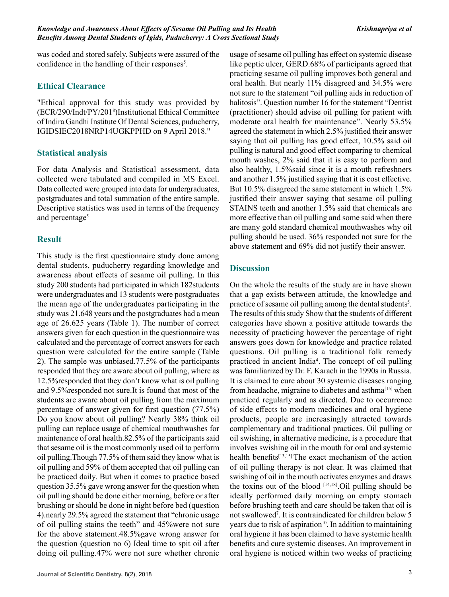was coded and stored safely. Subjects were assured of the confidence in the handling of their responses<sup>5</sup>.

## **Ethical Clearance**

"Ethical approval for this study was provided by (ECR/290/Indt/PY/2018 )Institutional Ethical Committee of Indira Gandhi Institute Of Dental Sciences, puducherry, IGIDSIEC2018NRP14UGKPPHD on 9 April 2018."

# **Statistical analysis**

For data Analysis and Statistical assessment, data collected were tabulated and compiled in MS Excel. Data collected were grouped into data for undergraduates, postgraduates and total summation of the entire sample. Descriptive statistics was used in terms of the frequency and percentage<sup>5</sup>

# **Result**

This study is the first questionnaire study done among dental students, puducherry regarding knowledge and awareness about effects of sesame oil pulling. In this study 200 students had participated in which 182students were undergraduates and 13 students were postgraduates the mean age of the undergraduates participating in the study was 21.648 years and the postgraduates had a mean age of 26.625 years (Table 1). The number of correct answers given for each question in the questionnaire was calculated and the percentage of correct answers for each question were calculated for the entire sample (Table 2). The sample was unbiased.77.5% of the participants responded that they are aware about oil pulling, where as 12.5%responded that they don't know what is oil pulling and 9.5%responded not sure.It is found that most of the students are aware about oil pulling from the maximum percentage of answer given for first question (77.5%) Do you know about oil pulling? Nearly 38% think oil pulling can replace usage of chemical mouthwashes for maintenance of oral health.82.5% of the participants said that sesame oil is the most commonly used oil to perform oil pulling.Though 77.5% of them said they know what is oil pulling and 59% of them accepted that oil pulling can be practiced daily. But when it comes to practice based question 35.5% gave wrong answer for the question when oil pulling should be done either morning, before or after brushing or should be done in night before bed (question 4).nearly 29.5% agreed the statement that "chronic usage of oil pulling stains the teeth" and 45%were not sure for the above statement.48.5%gave wrong answer for the question (question no 6) Ideal time to spit oil after doing oil pulling.47% were not sure whether chronic like peptic ulcer, GERD.68% of participants agreed that practicing sesame oil pulling improves both general and oral health. But nearly 11% disagreed and 34.5% were not sure to the statement "oil pulling aids in reduction of halitosis". Question number 16 for the statement "Dentist (practitioner) should advise oil pulling for patient with moderate oral health for maintenance". Nearly 53.5% agreed the statement in which 2.5% justified their answer saying that oil pulling has good effect, 10.5% said oil pulling is natural and good effect comparing to chemical mouth washes, 2% said that it is easy to perform and also healthy, 1.5%said since it is a mouth refreshners and another 1.5% justified saying that it is cost effective. But 10.5% disagreed the same statement in which 1.5% justified their answer saying that sesame oil pulling STAINS teeth and another 1.5% said that chemicals are more effective than oil pulling and some said when there are many gold standard chemical mouthwashes why oil pulling should be used. 36% responded not sure for the above statement and 69% did not justify their answer.

usage of sesame oil pulling has effect on systemic disease

# **Discussion**

On the whole the results of the study are in have shown that a gap exists between attitude, the knowledge and practice of sesame oil pulling among the dental students<sup>5</sup>. The results of this study Show that the students of different categories have shown a positive attitude towards the necessity of practicing however the percentage of right answers goes down for knowledge and practice related questions. Oil pulling is a traditional folk remedy practiced in ancient India<sup>4</sup> . The concept of oil pulling was familiarized by Dr. F. Karach in the 1990s in Russia. It is claimed to cure about 30 systemic diseases ranging from headache, migraine to diabetes and asthma[15] when practiced regularly and as directed. Due to occurrence of side effects to modern medicines and oral hygiene products, people are increasingly attracted towards complementary and traditional practices. Oil pulling or oil swishing, in alternative medicine, is a procedure that involves swishing oil in the mouth for oral and systemic health benefits<sup>[13,15].</sup>The exact mechanism of the action of oil pulling therapy is not clear. It was claimed that swishing of oil in the mouth activates enzymes and draws the toxins out of the blood  $[14,18]$ . Oil pulling should be ideally performed daily morning on empty stomach before brushing teeth and care should be taken that oil is not swallowed7 . It is contraindicated for children below 5 years due to risk of aspiration $10$ . In addition to maintaining oral hygiene it has been claimed to have systemic health benefits and cure systemic diseases. An improvement in oral hygiene is noticed within two weeks of practicing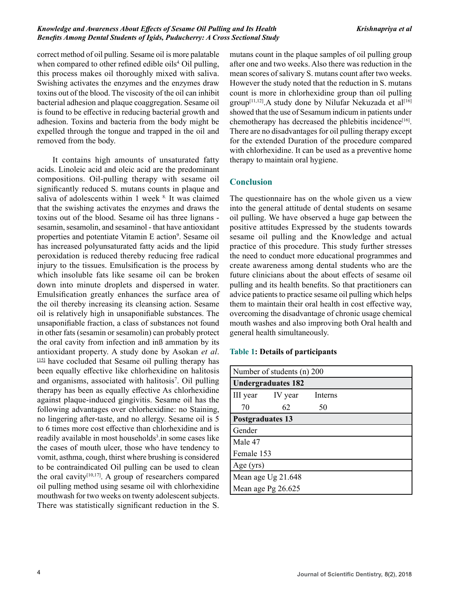#### *Knowledge and Awareness About Effects of Sesame Oil Pulling and Its Health Benefits Among Dental Students of Igids, Puducherry: A Cross Sectional Study*

correct method of oil pulling. Sesame oil is more palatable when compared to other refined edible oils<sup>4</sup> Oil pulling, this process makes oil thoroughly mixed with saliva. Swishing activates the enzymes and the enzymes draw toxins out of the blood. The viscosity of the oil can inhibit bacterial adhesion and plaque coaggregation. Sesame oil is found to be effective in reducing bacterial growth and adhesion. Toxins and bacteria from the body might be expelled through the tongue and trapped in the oil and removed from the body.

 It contains high amounts of unsaturated fatty acids. Linoleic acid and oleic acid are the predominant compositions. Oil-pulling therapy with sesame oil significantly reduced S. mutans counts in plaque and saliva of adolescents within 1 week <sup>8.</sup> It was claimed that the swishing activates the enzymes and draws the toxins out of the blood. Sesame oil has three lignans sesamin, sesamolin, and sesaminol - that have antioxidant properties and potentiate Vitamin E action<sup>9</sup>. Sesame oil has increased polyunsaturated fatty acids and the lipid peroxidation is reduced thereby reducing free radical injury to the tissues. Emulsification is the process by which insoluble fats like sesame oil can be broken down into minute droplets and dispersed in water. Emulsification greatly enhances the surface area of the oil thereby increasing its cleansing action. Sesame oil is relatively high in unsaponifiable substances. The unsaponifiable fraction, a class of substances not found in other fats (sesamin or sesamolin) can probably protect the oral cavity from infection and inß ammation by its antioxidant property. A study done by Asokan *et al*. [15] have cocluded that Sesame oil pulling therapy has been equally effective like chlorhexidine on halitosis and organisms, associated with halitosis<sup>7</sup>. Oil pulling therapy has been as equally effective As chlorhexidine against plaque-induced gingivitis. Sesame oil has the following advantages over chlorhexidine: no Staining, no lingering after-taste, and no allergy. Sesame oil is 5 to 6 times more cost effective than chlorhexidine and is readily available in most households<sup>3</sup> in some cases like the cases of mouth ulcer, those who have tendency to vomit, asthma, cough, thirst where brushing is considered to be contraindicated Oil pulling can be used to clean the oral cavity<sup>[10,17]</sup>. A group of researchers compared oil pulling method using sesame oil with chlorhexidine mouthwash for two weeks on twenty adolescent subjects. There was statistically significant reduction in the S.

mutans count in the plaque samples of oil pulling group after one and two weeks. Also there was reduction in the mean scores of salivary S. mutans count after two weeks. However the study noted that the reduction in S. mutans count is more in chlorhexidine group than oil pulling group<sup>[11,12]</sup>.A study done by Nilufar Nekuzada et al<sup>[16]</sup> showed that the use of Sesamum indicum in patients under chemotherapy has decreased the phlebitis incidence<sup>[16]</sup>. There are no disadvantages for oil pulling therapy except for the extended Duration of the procedure compared with chlorhexidine. It can be used as a preventive home therapy to maintain oral hygiene.

## **Conclusion**

The questionnaire has on the whole given us a view into the general attitude of dental students on sesame oil pulling. We have observed a huge gap between the positive attitudes Expressed by the students towards sesame oil pulling and the Knowledge and actual practice of this procedure. This study further stresses the need to conduct more educational programmes and create awareness among dental students who are the future clinicians about the about effects of sesame oil pulling and its health benefits. So that practitioners can advice patients to practice sesame oil pulling which helps them to maintain their oral health in cost effective way, overcoming the disadvantage of chronic usage chemical mouth washes and also improving both Oral health and general health simultaneously.

### **Table 1: Details of participants**

| Number of students (n) 200 |                  |         |  |  |  |
|----------------------------|------------------|---------|--|--|--|
| <b>Undergraduates 182</b>  |                  |         |  |  |  |
|                            | III year IV year | Interns |  |  |  |
| 70                         | 62               | 50      |  |  |  |
| <b>Postgraduates 13</b>    |                  |         |  |  |  |
| Gender                     |                  |         |  |  |  |
| Male 47                    |                  |         |  |  |  |
| Female 153                 |                  |         |  |  |  |
| Age $(yrs)$                |                  |         |  |  |  |
| Mean age Ug 21.648         |                  |         |  |  |  |
| Mean age $Pg$ 26.625       |                  |         |  |  |  |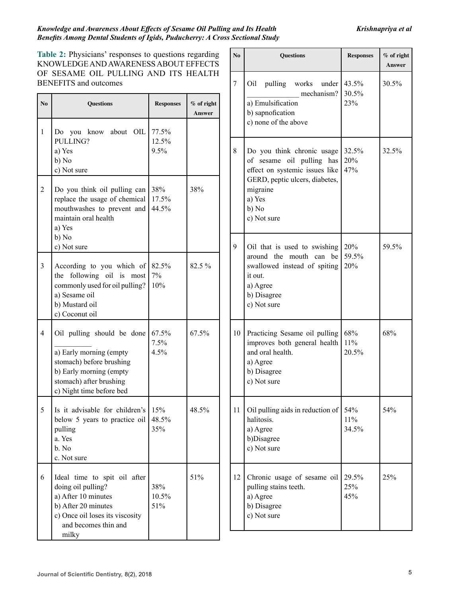**Answer**

**No Questions Responses % of right** 

### *Knowledge and Awareness About Effects of Sesame Oil Pulling and Its Health Benefits Among Dental Students of Igids, Puducherry: A Cross Sectional Study*

**Table 2:** Physicians' responses to questions regarding KNOWLEDGE AND AWARENESS ABOUT EFFECTS OF SESAME OIL PULLING AND ITS HEALTH BENEFITS and outcomes

|                | <b>BENEFITS</b> and outcomes                                                                                                                                         |                        |                        | 7  | Oil pulling works under<br>mechanism?                                                                                       | 43.5%<br>30.5%      | 30.5% |
|----------------|----------------------------------------------------------------------------------------------------------------------------------------------------------------------|------------------------|------------------------|----|-----------------------------------------------------------------------------------------------------------------------------|---------------------|-------|
| No.            | <b>Ouestions</b>                                                                                                                                                     | <b>Responses</b>       | $%$ of right<br>Answer |    | a) Emulsification<br>b) sapnofication<br>c) none of the above                                                               | 23%                 |       |
| $\mathbf{1}$   | Do you know about OIL<br>PULLING?<br>a) Yes<br>b) No<br>c) Not sure                                                                                                  | 77.5%<br>12.5%<br>9.5% |                        | 8  | Do you think chronic usage<br>of sesame oil pulling has<br>effect on systemic issues like                                   | 32.5%<br>20%<br>47% | 32.5% |
| $\overline{2}$ | Do you think oil pulling can<br>replace the usage of chemical<br>mouthwashes to prevent and<br>maintain oral health<br>a) Yes<br>b) No                               | 38%<br>17.5%<br>44.5%  | 38%                    |    | GERD, peptic ulcers, diabetes,<br>migraine<br>a) Yes<br>b) No<br>c) Not sure                                                |                     |       |
|                | c) Not sure                                                                                                                                                          |                        |                        | 9  | Oil that is used to swishing                                                                                                | 20%                 | 59.5% |
| 3              | According to you which of $82.5\%$<br>the following oil is most<br>commonly used for oil pulling?<br>a) Sesame oil<br>b) Mustard oil<br>c) Coconut oil               | 7%<br>10%              | 82.5 %                 |    | around the mouth can be<br>swallowed instead of spiting<br>it out.<br>a) Agree<br>b) Disagree<br>c) Not sure                | 59.5%<br>20%        |       |
| $\overline{4}$ | Oil pulling should be done<br>a) Early morning (empty<br>stomach) before brushing<br>b) Early morning (empty<br>stomach) after brushing<br>c) Night time before bed  | 67.5%<br>7.5%<br>4.5%  | 67.5%                  | 10 | Practicing Sesame oil pulling<br>improves both general health<br>and oral health.<br>a) Agree<br>b) Disagree<br>c) Not sure | 68%<br>11%<br>20.5% | 68%   |
| 5              | Is it advisable for children's<br>below 5 years to practice oil $ 48.5\%$<br>pulling<br>a. Yes<br>b. No<br>c. Not sure                                               | 15%<br>35%             | 48.5%                  | 11 | Oil pulling aids in reduction of   54%<br>halitosis.<br>a) Agree<br>b)Disagree<br>c) Not sure                               | 11%<br>34.5%        | 54%   |
| 6              | Ideal time to spit oil after<br>doing oil pulling?<br>a) After 10 minutes<br>b) After 20 minutes<br>c) Once oil loses its viscosity<br>and becomes thin and<br>milky | 38%<br>$10.5\%$<br>51% | 51%                    | 12 | Chronic usage of sesame oil<br>pulling stains teeth.<br>a) Agree<br>b) Disagree<br>c) Not sure                              | 29.5%<br>25%<br>45% | 25%   |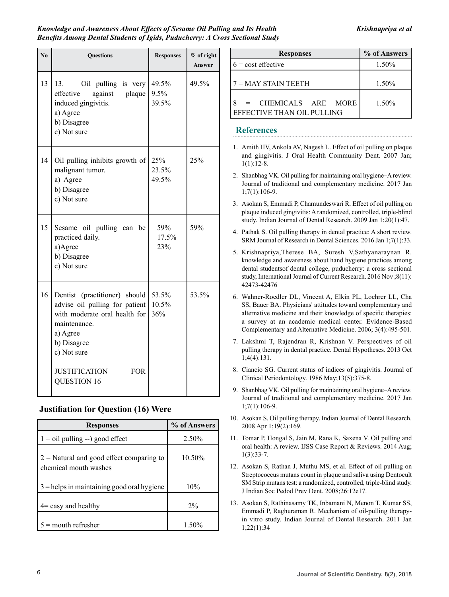| $\mathbf{N}\mathbf{0}$ | <b>Questions</b>                                                                                                                                                                                                               | <b>Responses</b>      | % of right<br><b>Answer</b> |
|------------------------|--------------------------------------------------------------------------------------------------------------------------------------------------------------------------------------------------------------------------------|-----------------------|-----------------------------|
| 13                     | Oil pulling is very $49.5\%$<br>13.<br>effective<br>against plaque<br>induced gingivitis.<br>a) Agree<br>b) Disagree<br>c) Not sure                                                                                            | 9.5%<br>39.5%         | 49.5%                       |
| 14                     | Oil pulling inhibits growth of<br>malignant tumor.<br>a) Agree<br>b) Disagree<br>c) Not sure                                                                                                                                   | 25%<br>23.5%<br>49.5% | 25%                         |
| 15                     | Sesame oil pulling can be<br>practiced daily.<br>a)Agree<br>b) Disagree<br>c) Not sure                                                                                                                                         | 59%<br>17.5%<br>23%   | 59%                         |
| 16                     | Dentist (practitioner) should 53.5%<br>advise oil pulling for patient $10.5\%$<br>with moderate oral health for<br>maintenance.<br>a) Agree<br>b) Disagree<br>c) Not sure<br><b>JUSTIFICATION</b><br><b>FOR</b><br>QUESTION 16 | 36%                   | 53.5%                       |

## **Justifiation for Question (16) Were**

| <b>Responses</b>                                                    | % of Answers |  |
|---------------------------------------------------------------------|--------------|--|
| $1 =$ oil pulling --) good effect                                   | 2.50%        |  |
| $2$ = Natural and good effect comparing to<br>chemical mouth washes | 10.50%       |  |
| $3$ = helps in maintaining good oral hygiene                        | 10%          |  |
| $4$ = easy and healthy                                              | $2\%$        |  |
| $5 =$ mouth refresher                                               | 1.50%        |  |

| <b>Responses</b>                                          | % of Answers |  |
|-----------------------------------------------------------|--------------|--|
| $6 = \text{cost}$ effective                               | 1.50%        |  |
| $7 =$ MAY STAIN TEETH                                     | 1.50%        |  |
| 8<br>$=$ CHEMICALS ARE MORE<br>EFFECTIVE THAN OIL PULLING | 1.50%        |  |

### **References**

- 1. Amith HV, Ankola AV, Nagesh L. Effect of oil pulling on plaque and gingivitis. J Oral Health Community Dent. 2007 Jan; 1(1):12-8.
- 2. Shanbhag VK. Oil pulling for maintaining oral hygiene–A review. Journal of traditional and complementary medicine. 2017 Jan 1;7(1):106-9.
- 3. Asokan S, Emmadi P, Chamundeswari R. Effect of oil pulling on plaque induced gingivitis: A randomized, controlled, triple-blind study. Indian Journal of Dental Research. 2009 Jan 1;20(1):47.
- 4. Pathak S. Oil pulling therapy in dental practice: A short review. SRM Journal of Research in Dental Sciences. 2016 Jan 1;7(1):33.
- 5. Krishnapriya,Therese BA, Suresh V,Sathyanaraynan R. knowledge and awareness about hand hygiene practices among dental studentsof dental college, puducherry: a cross sectional study, International Journal of Current Research. 2016 Nov ;8(11): 42473-42476
- 6. Wahner-Roedler DL, Vincent A, Elkin PL, Loehrer LL, Cha SS, Bauer BA. Physicians' attitudes toward complementary and alternative medicine and their knowledge of specific therapies: a survey at an academic medical center. Evidence-Based Complementary and Alternative Medicine. 2006; 3(4):495-501.
- 7. Lakshmi T, Rajendran R, Krishnan V. Perspectives of oil pulling therapy in dental practice. Dental Hypotheses. 2013 Oct 1;4(4):131.
- 8. Ciancio SG. Current status of indices of gingivitis. Journal of Clinical Periodontology. 1986 May;13(5):375-8.
- 9. Shanbhag VK. Oil pulling for maintaining oral hygiene–A review. Journal of traditional and complementary medicine. 2017 Jan 1;7(1):106-9.
- 10. Asokan S. Oil pulling therapy. Indian Journal of Dental Research. 2008 Apr 1;19(2):169.
- 11. Tomar P, Hongal S, Jain M, Rana K, Saxena V. Oil pulling and oral health: A review. IJSS Case Report & Reviews. 2014 Aug; 1(3):33-7.
- 12. Asokan S, Rathan J, Muthu MS, et al. Effect of oil pulling on Streptococcus mutans count in plaque and saliva using Dentocult SM Strip mutans test: a randomized, controlled, triple-blind study. J Indian Soc Pedod Prev Dent. 2008;26:12e17.
- 13. Asokan S, Rathinasamy TK, Inbamani N, Menon T, Kumar SS, Emmadi P, Raghuraman R. Mechanism of oil-pulling therapyin vitro study. Indian Journal of Dental Research. 2011 Jan 1;22(1):34